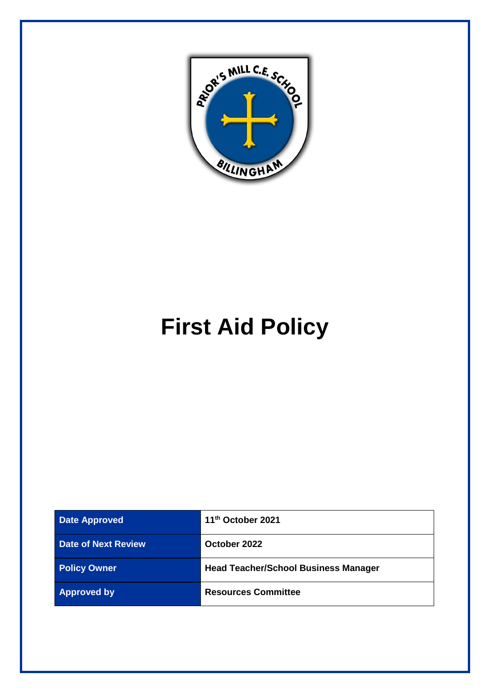

# **First Aid Policy**

| <b>Date Approved</b>       | 11 <sup>th</sup> October 2021               |
|----------------------------|---------------------------------------------|
| <b>Date of Next Review</b> | October 2022                                |
| <b>Policy Owner</b>        | <b>Head Teacher/School Business Manager</b> |
| <b>Approved by</b>         | <b>Resources Committee</b>                  |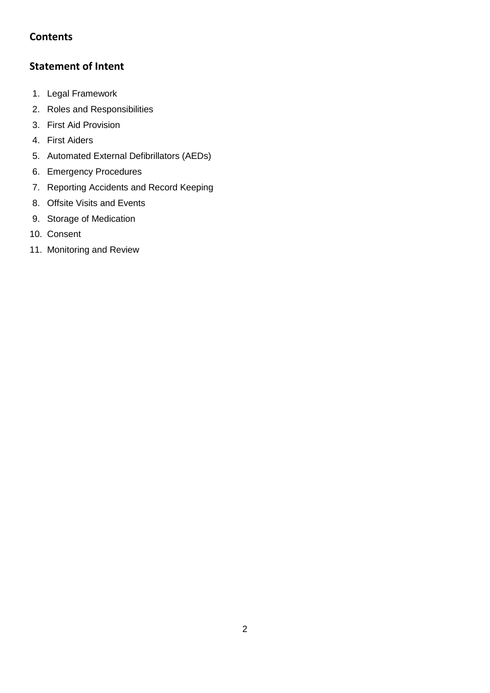# **Contents**

# **Statement of Intent**

- 1. Legal Framework
- 2. Roles and Responsibilities
- 3. First Aid Provision
- 4. First Aiders
- 5. Automated External Defibrillators (AEDs)
- 6. Emergency Procedures
- 7. Reporting Accidents and Record Keeping
- 8. Offsite Visits and Events
- 9. Storage of Medication
- 10. Consent
- 11. Monitoring and Review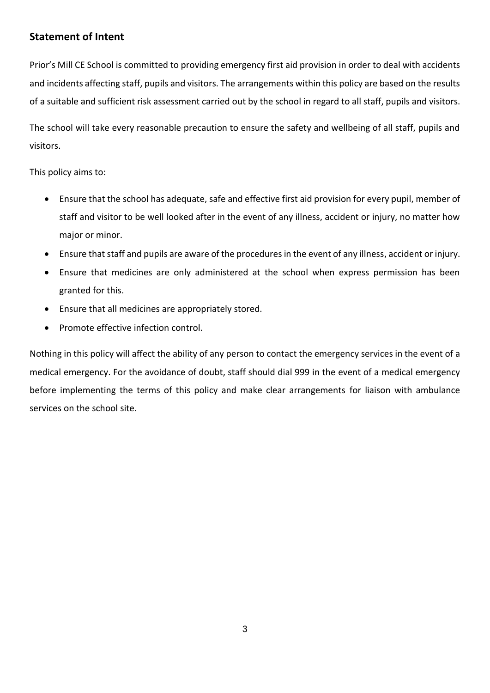# **Statement of Intent**

Prior's Mill CE School is committed to providing emergency first aid provision in order to deal with accidents and incidents affecting staff, pupils and visitors. The arrangements within this policy are based on the results of a suitable and sufficient risk assessment carried out by the school in regard to all staff, pupils and visitors.

The school will take every reasonable precaution to ensure the safety and wellbeing of all staff, pupils and visitors.

This policy aims to:

- Ensure that the school has adequate, safe and effective first aid provision for every pupil, member of staff and visitor to be well looked after in the event of any illness, accident or injury, no matter how major or minor.
- Ensure that staff and pupils are aware of the procedures in the event of any illness, accident or injury.
- Ensure that medicines are only administered at the school when express permission has been granted for this.
- Ensure that all medicines are appropriately stored.
- Promote effective infection control.

Nothing in this policy will affect the ability of any person to contact the emergency services in the event of a medical emergency. For the avoidance of doubt, staff should dial 999 in the event of a medical emergency before implementing the terms of this policy and make clear arrangements for liaison with ambulance services on the school site.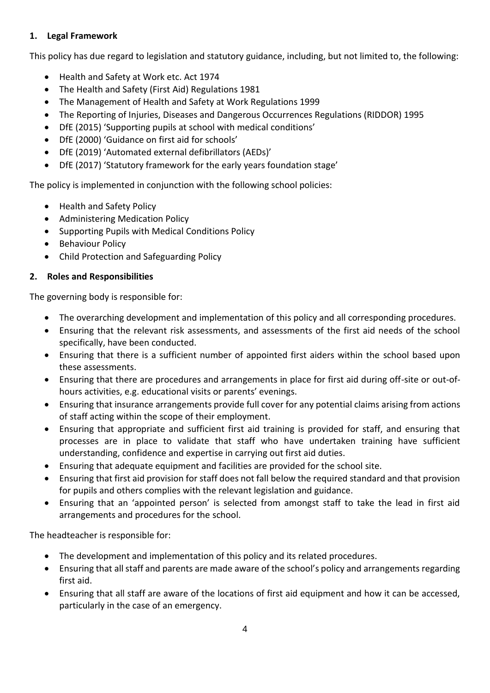### **1. Legal Framework**

This policy has due regard to legislation and statutory guidance, including, but not limited to, the following:

- Health and Safety at Work etc. Act 1974
- The Health and Safety (First Aid) Regulations 1981
- The Management of Health and Safety at Work Regulations 1999
- The Reporting of Injuries, Diseases and Dangerous Occurrences Regulations (RIDDOR) 1995
- DfE (2015) 'Supporting pupils at school with medical conditions'
- DfE (2000) 'Guidance on first aid for schools'
- DfE (2019) 'Automated external defibrillators (AEDs)'
- DfE (2017) 'Statutory framework for the early years foundation stage'

The policy is implemented in conjunction with the following school policies:

- Health and Safety Policy
- Administering Medication Policy
- Supporting Pupils with Medical Conditions Policy
- Behaviour Policy
- Child Protection and Safeguarding Policy

## **2. Roles and Responsibilities**

The governing body is responsible for:

- The overarching development and implementation of this policy and all corresponding procedures.
- Ensuring that the relevant risk assessments, and assessments of the first aid needs of the school specifically, have been conducted.
- Ensuring that there is a sufficient number of appointed first aiders within the school based upon these assessments.
- Ensuring that there are procedures and arrangements in place for first aid during off-site or out-ofhours activities, e.g. educational visits or parents' evenings.
- Ensuring that insurance arrangements provide full cover for any potential claims arising from actions of staff acting within the scope of their employment.
- Ensuring that appropriate and sufficient first aid training is provided for staff, and ensuring that processes are in place to validate that staff who have undertaken training have sufficient understanding, confidence and expertise in carrying out first aid duties.
- Ensuring that adequate equipment and facilities are provided for the school site.
- Ensuring that first aid provision for staff does not fall below the required standard and that provision for pupils and others complies with the relevant legislation and guidance.
- Ensuring that an 'appointed person' is selected from amongst staff to take the lead in first aid arrangements and procedures for the school.

The headteacher is responsible for:

- The development and implementation of this policy and its related procedures.
- Ensuring that all staff and parents are made aware of the school's policy and arrangements regarding first aid.
- Ensuring that all staff are aware of the locations of first aid equipment and how it can be accessed, particularly in the case of an emergency.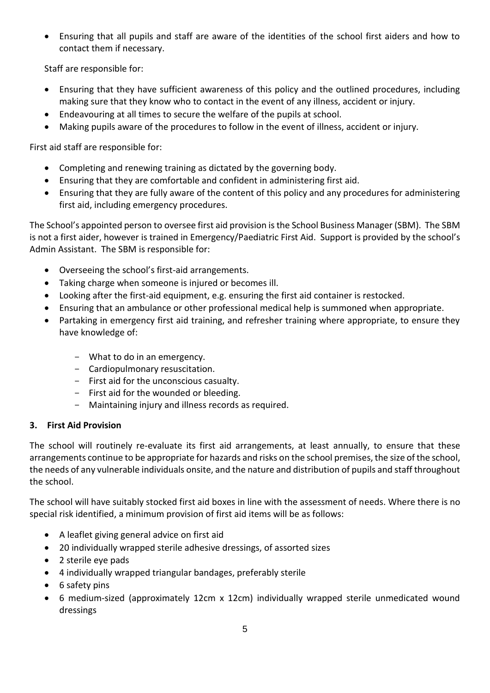• Ensuring that all pupils and staff are aware of the identities of the school first aiders and how to contact them if necessary.

Staff are responsible for:

- Ensuring that they have sufficient awareness of this policy and the outlined procedures, including making sure that they know who to contact in the event of any illness, accident or injury.
- Endeavouring at all times to secure the welfare of the pupils at school.
- Making pupils aware of the procedures to follow in the event of illness, accident or injury.

First aid staff are responsible for:

- Completing and renewing training as dictated by the governing body.
- Ensuring that they are comfortable and confident in administering first aid.
- Ensuring that they are fully aware of the content of this policy and any procedures for administering first aid, including emergency procedures.

The School's appointed person to oversee first aid provision is the School Business Manager (SBM). The SBM is not a first aider, however is trained in Emergency/Paediatric First Aid. Support is provided by the school's Admin Assistant. The SBM is responsible for:

- Overseeing the school's first-aid arrangements.
- Taking charge when someone is injured or becomes ill.
- Looking after the first-aid equipment, e.g. ensuring the first aid container is restocked.
- Ensuring that an ambulance or other professional medical help is summoned when appropriate.
- Partaking in emergency first aid training, and refresher training where appropriate, to ensure they have knowledge of:
	- What to do in an emergency.
	- Cardiopulmonary resuscitation.
	- First aid for the unconscious casualty.
	- First aid for the wounded or bleeding.
	- Maintaining injury and illness records as required.

## **3. First Aid Provision**

The school will routinely re-evaluate its first aid arrangements, at least annually, to ensure that these arrangements continue to be appropriate for hazards and risks on the school premises, the size of the school, the needs of any vulnerable individuals onsite, and the nature and distribution of pupils and staff throughout the school.

The school will have suitably stocked first aid boxes in line with the assessment of needs. Where there is no special risk identified, a minimum provision of first aid items will be as follows:

- A leaflet giving general advice on first aid
- 20 individually wrapped sterile adhesive dressings, of assorted sizes
- 2 sterile eye pads
- 4 individually wrapped triangular bandages, preferably sterile
- 6 safety pins
- 6 medium-sized (approximately 12cm x 12cm) individually wrapped sterile unmedicated wound dressings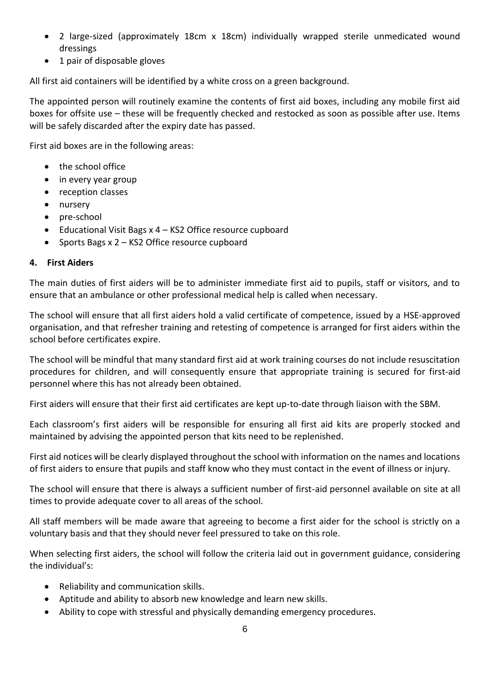- 2 large-sized (approximately 18cm x 18cm) individually wrapped sterile unmedicated wound dressings
- 1 pair of disposable gloves

All first aid containers will be identified by a white cross on a green background.

The appointed person will routinely examine the contents of first aid boxes, including any mobile first aid boxes for offsite use – these will be frequently checked and restocked as soon as possible after use. Items will be safely discarded after the expiry date has passed.

First aid boxes are in the following areas:

- the school office
- in every year group
- reception classes
- nursery
- pre-school
- Educational Visit Bags x 4 KS2 Office resource cupboard
- Sports Bags x 2 KS2 Office resource cupboard

#### **4. First Aiders**

The main duties of first aiders will be to administer immediate first aid to pupils, staff or visitors, and to ensure that an ambulance or other professional medical help is called when necessary.

The school will ensure that all first aiders hold a valid certificate of competence, issued by a HSE-approved organisation, and that refresher training and retesting of competence is arranged for first aiders within the school before certificates expire.

The school will be mindful that many standard first aid at work training courses do not include resuscitation procedures for children, and will consequently ensure that appropriate training is secured for first-aid personnel where this has not already been obtained.

First aiders will ensure that their first aid certificates are kept up-to-date through liaison with the SBM.

Each classroom's first aiders will be responsible for ensuring all first aid kits are properly stocked and maintained by advising the appointed person that kits need to be replenished.

First aid notices will be clearly displayed throughout the school with information on the names and locations of first aiders to ensure that pupils and staff know who they must contact in the event of illness or injury.

The school will ensure that there is always a sufficient number of first-aid personnel available on site at all times to provide adequate cover to all areas of the school.

All staff members will be made aware that agreeing to become a first aider for the school is strictly on a voluntary basis and that they should never feel pressured to take on this role.

When selecting first aiders, the school will follow the criteria laid out in government guidance, considering the individual's:

- Reliability and communication skills.
- Aptitude and ability to absorb new knowledge and learn new skills.
- Ability to cope with stressful and physically demanding emergency procedures.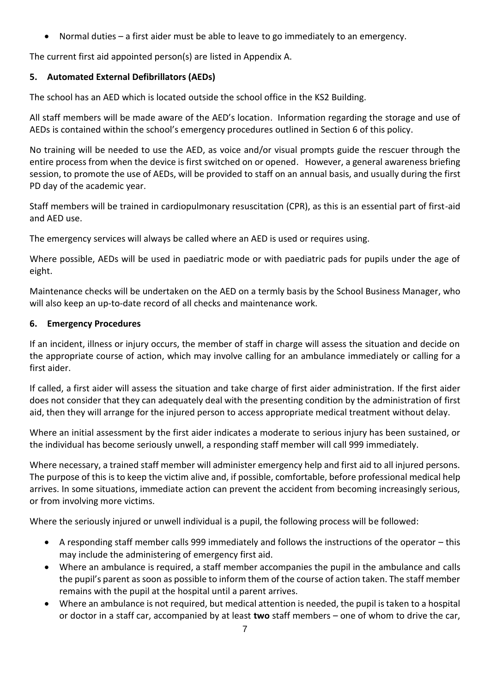• Normal duties – a first aider must be able to leave to go immediately to an emergency.

The current first aid appointed person(s) are listed in Appendix A.

## **5. Automated External Defibrillators (AEDs)**

The school has an AED which is located outside the school office in the KS2 Building.

All staff members will be made aware of the AED's location. Information regarding the storage and use of AEDs is contained within the school's emergency procedures outlined in Section 6 of this policy.

No training will be needed to use the AED, as voice and/or visual prompts guide the rescuer through the entire process from when the device is first switched on or opened. However, a general awareness briefing session, to promote the use of AEDs, will be provided to staff on an annual basis, and usually during the first PD day of the academic year.

Staff members will be trained in cardiopulmonary resuscitation (CPR), as this is an essential part of first-aid and AED use.

The emergency services will always be called where an AED is used or requires using.

Where possible, AEDs will be used in paediatric mode or with paediatric pads for pupils under the age of eight.

Maintenance checks will be undertaken on the AED on a termly basis by the School Business Manager, who will also keep an up-to-date record of all checks and maintenance work.

#### **6. Emergency Procedures**

If an incident, illness or injury occurs, the member of staff in charge will assess the situation and decide on the appropriate course of action, which may involve calling for an ambulance immediately or calling for a first aider.

If called, a first aider will assess the situation and take charge of first aider administration. If the first aider does not consider that they can adequately deal with the presenting condition by the administration of first aid, then they will arrange for the injured person to access appropriate medical treatment without delay.

Where an initial assessment by the first aider indicates a moderate to serious injury has been sustained, or the individual has become seriously unwell, a responding staff member will call 999 immediately.

Where necessary, a trained staff member will administer emergency help and first aid to all injured persons. The purpose of this is to keep the victim alive and, if possible, comfortable, before professional medical help arrives. In some situations, immediate action can prevent the accident from becoming increasingly serious, or from involving more victims.

Where the seriously injured or unwell individual is a pupil, the following process will be followed:

- A responding staff member calls 999 immediately and follows the instructions of the operator this may include the administering of emergency first aid.
- Where an ambulance is required, a staff member accompanies the pupil in the ambulance and calls the pupil's parent as soon as possible to inform them of the course of action taken. The staff member remains with the pupil at the hospital until a parent arrives.
- Where an ambulance is not required, but medical attention is needed, the pupil is taken to a hospital or doctor in a staff car, accompanied by at least **two** staff members – one of whom to drive the car,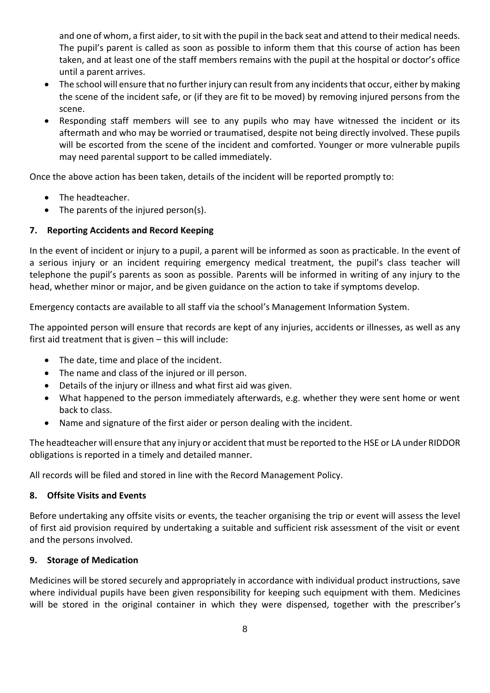and one of whom, a first aider, to sit with the pupil in the back seat and attend to their medical needs. The pupil's parent is called as soon as possible to inform them that this course of action has been taken, and at least one of the staff members remains with the pupil at the hospital or doctor's office until a parent arrives.

- The school will ensure that no further injury can result from any incidents that occur, either by making the scene of the incident safe, or (if they are fit to be moved) by removing injured persons from the scene.
- Responding staff members will see to any pupils who may have witnessed the incident or its aftermath and who may be worried or traumatised, despite not being directly involved. These pupils will be escorted from the scene of the incident and comforted. Younger or more vulnerable pupils may need parental support to be called immediately.

Once the above action has been taken, details of the incident will be reported promptly to:

- The headteacher.
- The parents of the injured person(s).

#### **7. Reporting Accidents and Record Keeping**

In the event of incident or injury to a pupil, a parent will be informed as soon as practicable. In the event of a serious injury or an incident requiring emergency medical treatment, the pupil's class teacher will telephone the pupil's parents as soon as possible. Parents will be informed in writing of any injury to the head, whether minor or major, and be given guidance on the action to take if symptoms develop.

Emergency contacts are available to all staff via the school's Management Information System.

The appointed person will ensure that records are kept of any injuries, accidents or illnesses, as well as any first aid treatment that is given – this will include:

- The date, time and place of the incident.
- The name and class of the injured or ill person.
- Details of the injury or illness and what first aid was given.
- What happened to the person immediately afterwards, e.g. whether they were sent home or went back to class.
- Name and signature of the first aider or person dealing with the incident.

The headteacher will ensure that any injury or accident that must be reported to the HSE or LA under RIDDOR obligations is reported in a timely and detailed manner.

All records will be filed and stored in line with the Record Management Policy.

#### **8. Offsite Visits and Events**

Before undertaking any offsite visits or events, the teacher organising the trip or event will assess the level of first aid provision required by undertaking a suitable and sufficient risk assessment of the visit or event and the persons involved.

#### **9. Storage of Medication**

Medicines will be stored securely and appropriately in accordance with individual product instructions, save where individual pupils have been given responsibility for keeping such equipment with them. Medicines will be stored in the original container in which they were dispensed, together with the prescriber's